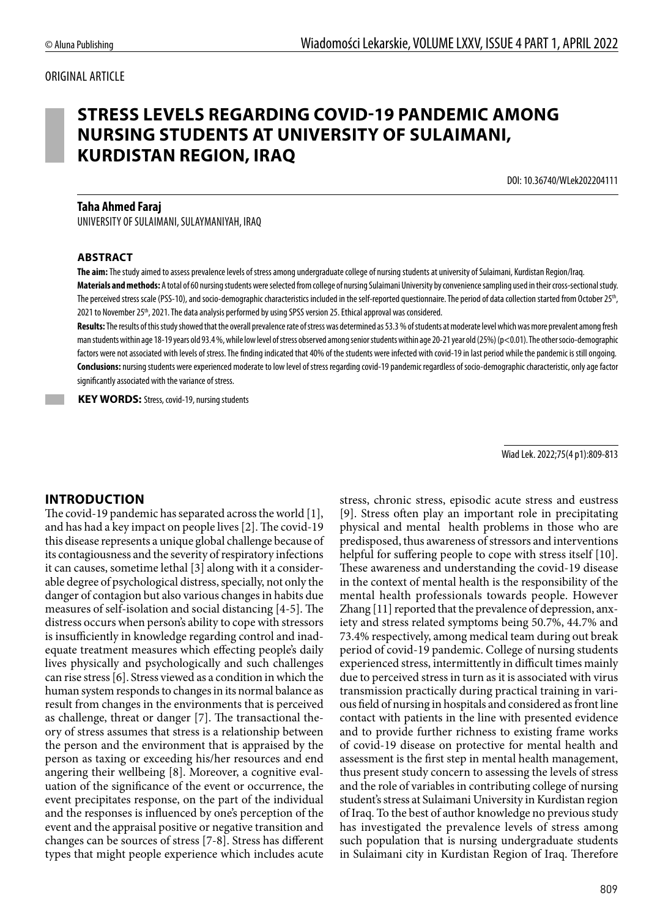#### ORIGINAL ARTICLE

# **STRESS LEVELS REGARDING COVID-19 PANDEMIC AMONG NURSING STUDENTS AT UNIVERSITY OF SULAIMANI, KURDISTAN REGION, IRAQ**

DOI: 10.36740/WLek202204111

#### **Taha Ahmed Faraj**

UNIVERSITY OF SULAIMANI, SULAYMANIYAH, IRAQ

#### **ABSTRACT**

**The aim:** The study aimed to assess prevalence levels of stress among undergraduate college of nursing students at university of Sulaimani, Kurdistan Region/Iraq. **Materials and methods:** A total of 60 nursing students were selected from college of nursing Sulaimani University by convenience sampling used in their cross-sectional study. The perceived stress scale (PSS-10), and socio-demographic characteristics included in the self-reported questionnaire. The period of data collection started from October 25<sup>th</sup>, 2021 to November 25<sup>th</sup>, 2021. The data analysis performed by using SPSS version 25. Ethical approval was considered.

**Results:** The results of this study showed that the overall prevalence rate of stress was determined as 53.3 % of students at moderate level which was more prevalent among fresh man students within age 18-19 years old 93.4 %, while low level of stress observed among senior students within age 20-21 year old (25%) (p<0.01). The other socio-demographic factors were not associated with levels of stress. The finding indicated that 40% of the students were infected with covid-19 in last period while the pandemic is still ongoing. **Conclusions:** nursing students were experienced moderate to low level of stress regarding covid-19 pandemic regardless of socio-demographic characteristic, only age factor significantly associated with the variance of stress.

 **KEY WORDS:** Stress, covid-19, nursing students

Wiad Lek. 2022;75(4 p1):809-813

#### **INTRODUCTION**

The covid-19 pandemic has separated across the world [1], and has had a key impact on people lives [2]. The covid-19 this disease represents a unique global challenge because of its contagiousness and the severity of respiratory infections it can causes, sometime lethal [3] along with it a considerable degree of psychological distress, specially, not only the danger of contagion but also various changes in habits due measures of self-isolation and social distancing [4-5]. The distress occurs when person's ability to cope with stressors is insufficiently in knowledge regarding control and inadequate treatment measures which effecting people's daily lives physically and psychologically and such challenges can rise stress [6]. Stress viewed as a condition in which the human system responds to changes in its normal balance as result from changes in the environments that is perceived as challenge, threat or danger [7]. The transactional theory of stress assumes that stress is a relationship between the person and the environment that is appraised by the person as taxing or exceeding his/her resources and end angering their wellbeing [8]. Moreover, a cognitive evaluation of the significance of the event or occurrence, the event precipitates response, on the part of the individual and the responses is influenced by one's perception of the event and the appraisal positive or negative transition and changes can be sources of stress [7-8]. Stress has different types that might people experience which includes acute stress, chronic stress, episodic acute stress and eustress [9]. Stress often play an important role in precipitating physical and mental health problems in those who are predisposed, thus awareness of stressors and interventions helpful for suffering people to cope with stress itself [10]. These awareness and understanding the covid-19 disease in the context of mental health is the responsibility of the mental health professionals towards people. However Zhang [11] reported that the prevalence of depression, anxiety and stress related symptoms being 50.7%, 44.7% and 73.4% respectively, among medical team during out break period of covid-19 pandemic. College of nursing students experienced stress, intermittently in difficult times mainly due to perceived stress in turn as it is associated with virus transmission practically during practical training in various field of nursing in hospitals and considered as front line contact with patients in the line with presented evidence and to provide further richness to existing frame works of covid-19 disease on protective for mental health and assessment is the first step in mental health management, thus present study concern to assessing the levels of stress and the role of variables in contributing college of nursing student's stress at Sulaimani University in Kurdistan region of Iraq. To the best of author knowledge no previous study has investigated the prevalence levels of stress among such population that is nursing undergraduate students in Sulaimani city in Kurdistan Region of Iraq. Therefore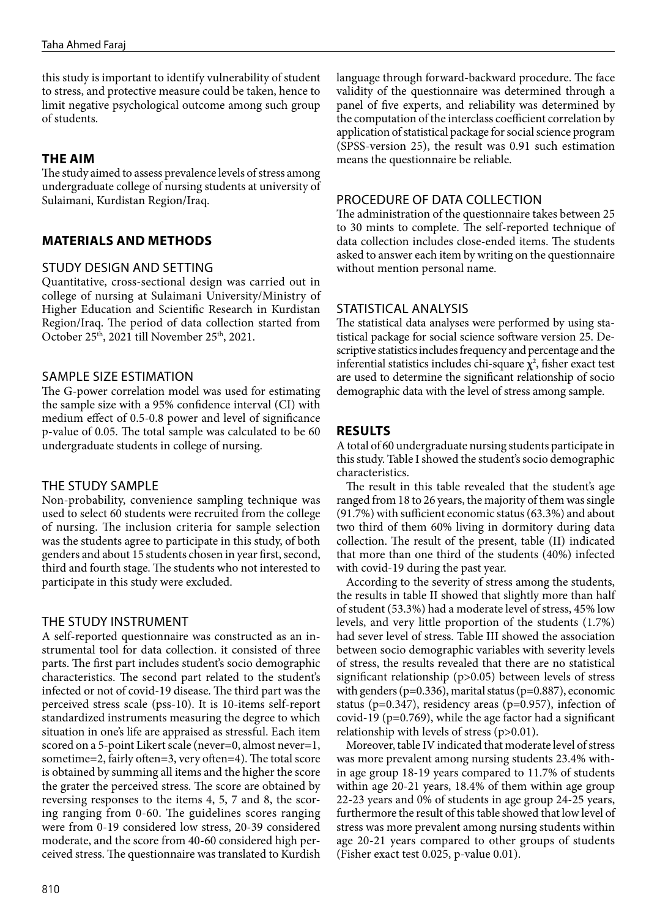this study is important to identify vulnerability of student to stress, and protective measure could be taken, hence to limit negative psychological outcome among such group of students.

# **THE AIM**

The study aimed to assess prevalence levels of stress among undergraduate college of nursing students at university of Sulaimani, Kurdistan Region/Iraq.

# **MATERIALS AND METHODS**

### STUDY DESIGN AND SETTING

Quantitative, cross-sectional design was carried out in college of nursing at Sulaimani University/Ministry of Higher Education and Scientific Research in Kurdistan Region/Iraq. The period of data collection started from October 25<sup>th</sup>, 2021 till November 25<sup>th</sup>, 2021.

### SAMPLE SIZE ESTIMATION

The G-power correlation model was used for estimating the sample size with a 95% confidence interval (CI) with medium effect of 0.5-0.8 power and level of significance p-value of 0.05. The total sample was calculated to be 60 undergraduate students in college of nursing.

### THE STUDY SAMPLE

Non-probability, convenience sampling technique was used to select 60 students were recruited from the college of nursing. The inclusion criteria for sample selection was the students agree to participate in this study, of both genders and about 15 students chosen in year first, second, third and fourth stage. The students who not interested to participate in this study were excluded.

# THE STUDY INSTRUMENT

A self-reported questionnaire was constructed as an instrumental tool for data collection. it consisted of three parts. The first part includes student's socio demographic characteristics. The second part related to the student's infected or not of covid-19 disease. The third part was the perceived stress scale (pss-10). It is 10-items self-report standardized instruments measuring the degree to which situation in one's life are appraised as stressful. Each item scored on a 5-point Likert scale (never=0, almost never=1, sometime=2, fairly often=3, very often=4). The total score is obtained by summing all items and the higher the score the grater the perceived stress. The score are obtained by reversing responses to the items 4, 5, 7 and 8, the scoring ranging from 0-60. The guidelines scores ranging were from 0-19 considered low stress, 20-39 considered moderate, and the score from 40-60 considered high perceived stress. The questionnaire was translated to Kurdish language through forward-backward procedure. The face validity of the questionnaire was determined through a panel of five experts, and reliability was determined by the computation of the interclass coefficient correlation by application of statistical package for social science program (SPSS-version 25), the result was 0.91 such estimation means the questionnaire be reliable.

# PROCEDURE OF DATA COLLECTION

The administration of the questionnaire takes between 25 to 30 mints to complete. The self-reported technique of data collection includes close-ended items. The students asked to answer each item by writing on the questionnaire without mention personal name.

# STATISTICAL ANALYSIS

The statistical data analyses were performed by using statistical package for social science software version 25. Descriptive statistics includes frequency and percentage and the inferential statistics includes chi-square  $\chi^2$ , fisher exact test are used to determine the significant relationship of socio demographic data with the level of stress among sample.

# **RESULTS**

A total of 60 undergraduate nursing students participate in this study. Table I showed the student's socio demographic characteristics.

The result in this table revealed that the student's age ranged from 18 to 26 years, the majority of them was single (91.7%) with sufficient economic status (63.3%) and about two third of them 60% living in dormitory during data collection. The result of the present, table (II) indicated that more than one third of the students (40%) infected with covid-19 during the past year.

According to the severity of stress among the students, the results in table II showed that slightly more than half of student (53.3%) had a moderate level of stress, 45% low levels, and very little proportion of the students (1.7%) had sever level of stress. Table III showed the association between socio demographic variables with severity levels of stress, the results revealed that there are no statistical significant relationship (p>0.05) between levels of stress with genders ( $p=0.336$ ), marital status ( $p=0.887$ ), economic status (p=0.347), residency areas (p=0.957), infection of covid-19 (p=0.769), while the age factor had a significant relationship with levels of stress (p>0.01).

Moreover, table IV indicated that moderate level of stress was more prevalent among nursing students 23.4% within age group 18-19 years compared to 11.7% of students within age 20-21 years, 18.4% of them within age group 22-23 years and 0% of students in age group 24-25 years, furthermore the result of this table showed that low level of stress was more prevalent among nursing students within age 20-21 years compared to other groups of students (Fisher exact test 0.025, p-value 0.01).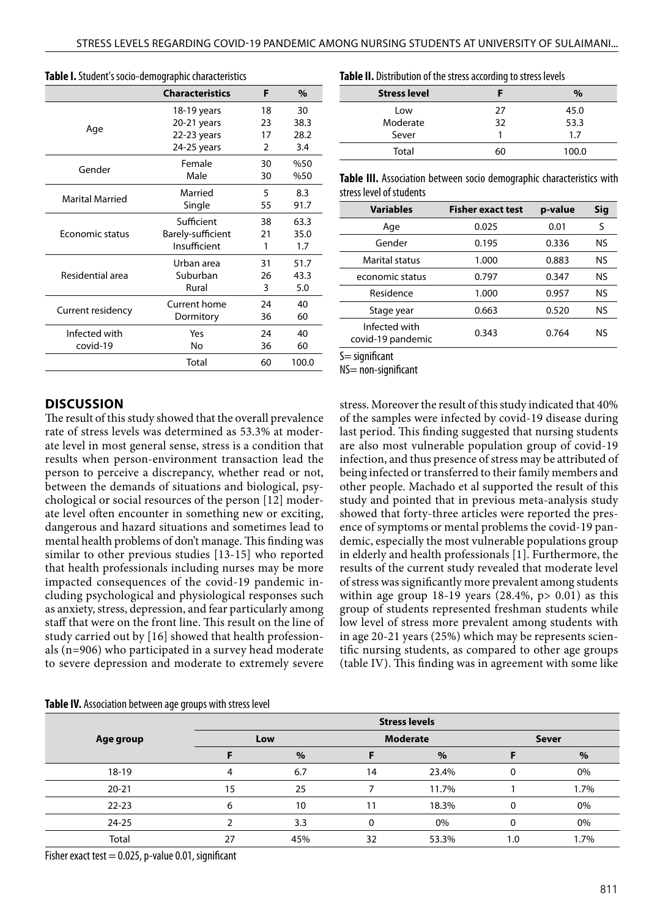|                        | <b>Characteristics</b> | F  | $\%$  |
|------------------------|------------------------|----|-------|
| Age                    | 18-19 years            | 18 | 30    |
|                        | 20-21 years            | 23 | 38.3  |
|                        | 22-23 years            | 17 | 28.2  |
|                        | 24-25 years            | 2  | 3.4   |
| Gender                 | Female                 | 30 | %50   |
|                        | Male                   | 30 | %50   |
| <b>Marital Married</b> | Married                | 5  | 8.3   |
|                        | Single                 | 55 | 91.7  |
| Economic status        | Sufficient             | 38 | 63.3  |
|                        | Barely-sufficient      | 21 | 35.0  |
|                        | Insufficient           | 1  | 1.7   |
| Residential area       | Urban area             | 31 | 51.7  |
|                        | Suburban               | 26 | 43.3  |
|                        | Rural                  | 3  | 5.0   |
| Current residency      | Current home           | 24 | 40    |
|                        | Dormitory              | 36 | 60    |
| Infected with          | Yes                    | 24 | 40    |
| covid-19               | No                     |    | 60    |
|                        | Total                  | 60 | 100.0 |

**Table I.** Student's socio-demographic characteristics

#### **Table II.** Distribution of the stress according to stress levels

|                     | -  |       |
|---------------------|----|-------|
| <b>Stress level</b> |    | $\%$  |
| Low                 | 27 | 45.0  |
| Moderate            | 32 | 53.3  |
| Sever               |    | 1.7   |
| Total               | 60 | 100.0 |
|                     |    |       |

**Table III.** Association between socio demographic characteristics with stress level of students

| <b>Variables</b>                   | <b>Fisher exact test</b> | p-value | <b>Sig</b> |
|------------------------------------|--------------------------|---------|------------|
| Age                                | 0.025                    | 0.01    | S          |
| Gender                             | 0.195                    | 0.336   | NS         |
| Marital status                     | 1.000                    | 0.883   | NS         |
| economic status                    | 0.797                    | 0.347   | NS         |
| Residence                          | 1.000                    | 0.957   | NS         |
| Stage year                         | 0.663                    | 0.520   | ΝS         |
| Infected with<br>covid-19 pandemic | 0.343                    | 0.764   | ΝS         |

S= significant

NS= non-significant

### **DISCUSSION**

The result of this study showed that the overall prevalence rate of stress levels was determined as 53.3% at moderate level in most general sense, stress is a condition that results when person-environment transaction lead the person to perceive a discrepancy, whether read or not, between the demands of situations and biological, psychological or social resources of the person [12] moderate level often encounter in something new or exciting, dangerous and hazard situations and sometimes lead to mental health problems of don't manage. This finding was similar to other previous studies [13-15] who reported that health professionals including nurses may be more impacted consequences of the covid-19 pandemic including psychological and physiological responses such as anxiety, stress, depression, and fear particularly among staff that were on the front line. This result on the line of study carried out by [16] showed that health professionals (n=906) who participated in a survey head moderate to severe depression and moderate to extremely severe stress. Moreover the result of this study indicated that 40% of the samples were infected by covid-19 disease during last period. This finding suggested that nursing students are also most vulnerable population group of covid-19 infection, and thus presence of stress may be attributed of being infected or transferred to their family members and other people. Machado et al supported the result of this study and pointed that in previous meta-analysis study showed that forty-three articles were reported the presence of symptoms or mental problems the covid-19 pandemic, especially the most vulnerable populations group in elderly and health professionals [1]. Furthermore, the results of the current study revealed that moderate level of stress was significantly more prevalent among students within age group  $18-19$  years  $(28.4\%, p > 0.01)$  as this group of students represented freshman students while low level of stress more prevalent among students with in age 20-21 years (25%) which may be represents scientific nursing students, as compared to other age groups (table IV). This finding was in agreement with some like

| Table IV. Association between age groups with stress level |  |  |
|------------------------------------------------------------|--|--|
|                                                            |  |  |

|           | <b>Stress levels</b> |      |                 |       |              |      |
|-----------|----------------------|------|-----------------|-------|--------------|------|
| Age group | Low                  |      | <b>Moderate</b> |       | <b>Sever</b> |      |
|           |                      | $\%$ |                 | $\%$  |              | $\%$ |
| 18-19     | 4                    | 6.7  | 14              | 23.4% | $\Omega$     | 0%   |
| $20 - 21$ | 15                   | 25   |                 | 11.7% |              | 1.7% |
| $22 - 23$ | 6                    | 10   | 11              | 18.3% |              | 0%   |
| 24-25     |                      | 3.3  | 0               | 0%    | $\Omega$     | 0%   |
| Total     | 27                   | 45%  | 32              | 53.3% | 1.0          | 1.7% |

Fisher exact test  $= 0.025$ , p-value 0.01, significant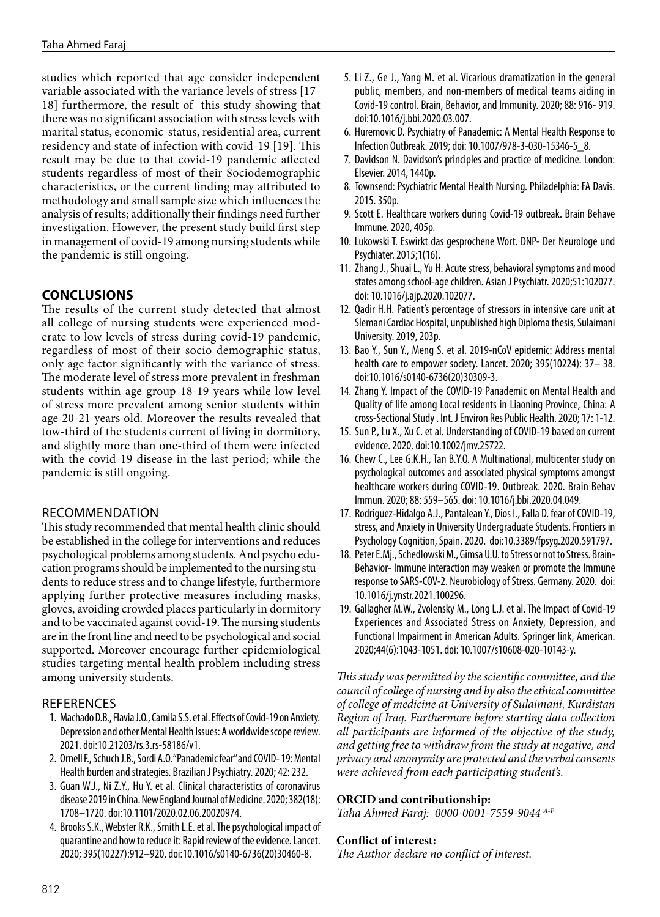studies which reported that age consider independent variable associated with the variance levels of stress [17- 18] furthermore, the result of this study showing that there was no significant association with stress levels with marital status, economic status, residential area, current residency and state of infection with covid-19 [19]. This result may be due to that covid-19 pandemic affected students regardless of most of their Sociodemographic characteristics, or the current finding may attributed to methodology and small sample size which influences the analysis of results; additionally their findings need further investigation. However, the present study build first step in management of covid-19 among nursing students while the pandemic is still ongoing.

# **CONCLUSIONS**

The results of the current study detected that almost all college of nursing students were experienced moderate to low levels of stress during covid-19 pandemic, regardless of most of their socio demographic status, only age factor significantly with the variance of stress. The moderate level of stress more prevalent in freshman students within age group 18-19 years while low level of stress more prevalent among senior students within age 20-21 years old. Moreover the results revealed that tow-third of the students current of living in dormitory, and slightly more than one-third of them were infected with the covid-19 disease in the last period; while the pandemic is still ongoing.

### RECOMMENDATION

This study recommended that mental health clinic should be established in the college for interventions and reduces psychological problems among students. And psycho education programs should be implemented to the nursing students to reduce stress and to change lifestyle, furthermore applying further protective measures including masks, gloves, avoiding crowded places particularly in dormitory and to be vaccinated against covid-19. The nursing students are in the front line and need to be psychological and social supported. Moreover encourage further epidemiological studies targeting mental health problem including stress among university students.

#### **REFERENCES**

- 1. Machado D.B., Flavia J.O., Camila S.S. et al. Effects of Covid-19 on Anxiety. Depression and other Mental Health Issues: A worldwide scope review. 2021. doi:10.21203/rs.3.rs-58186/v1.
- 2. Ornell F., Schuch J.B., Sordi A.O. "Panademic fear" and COVID- 19: Mental Health burden and strategies. Brazilian J Psychiatry. 2020; 42: 232.
- 3. Guan W.J., Ni Z.Y., Hu Y. et al. Clinical characteristics of coronavirus disease 2019 in China. New England Journal of Medicine. 2020; 382(18): 1708–1720. doi:10.1101/2020.02.06.20020974.
- 4. Brooks S.K., Webster R.K., Smith L.E. et al. The psychological impact of quarantine and how to reduce it: Rapid review of the evidence. Lancet. 2020; 395(10227):912–920. doi:10.1016/s0140-6736(20)30460-8.
- 5. Li Z., Ge J., Yang M. et al. Vicarious dramatization in the general public, members, and non-members of medical teams aiding in Covid-19 control. Brain, Behavior, and Immunity. 2020; 88: 916- 919. doi:10.1016/j.bbi.2020.03.007.
- 6. Huremovic D. Psychiatry of Panademic: A Mental Health Response to Infection Outbreak. 2019; doi: 10.1007/978-3-030-15346-5\_8.
- 7. Davidson N. Davidson's principles and practice of medicine. London: Elsevier. 2014, 1440p.
- 8. Townsend: Psychiatric Mental Health Nursing. Philadelphia: FA Davis. 2015. 350p.
- 9. Scott E. Healthcare workers during Covid-19 outbreak. Brain Behave Immune. 2020, 405p.
- 10. Lukowski T. Eswirkt das gesprochene Wort. DNP- Der Neurologe und Psychiater. 2015;1(16).
- 11. Zhang J., Shuai L., Yu H. Acute stress, behavioral symptoms and mood states among school-age children. Asian J Psychiatr. 2020;51:102077. doi: 10.1016/j.ajp.2020.102077.
- 12. Qadir H.H. Patient's percentage of stressors in intensive care unit at Slemani Cardiac Hospital, unpublished high Diploma thesis, Sulaimani University. 2019, 203р.
- 13. Bao Y., Sun Y., Meng S. et al. 2019-nCoV epidemic: Address mental health care to empower society. Lancet. 2020; 395(10224): 37– 38. doi:10.1016/s0140-6736(20)30309-3.
- 14. Zhang Y. Impact of the COVID-19 Panademic on Mental Health and Quality of life among Local residents in Liaoning Province, China: A cross-Sectional Study . Int. J Environ Res Public Health. 2020; 17: 1-12.
- 15. Sun P., Lu X., Xu C. et al. Understanding of COVID-19 based on current evidence. 2020. doi:10.1002/jmv.25722.
- 16. Chew C., Lee G.K.H., Tan B.Y.Q. A Multinational, multicenter study on psychological outcomes and associated physical symptoms amongst healthcare workers during COVID-19. Outbreak. 2020. Brain Behav Immun. 2020; 88: 559–565. doi: 10.1016/j.bbi.2020.04.049.
- 17. Rodriguez-Hidalgo A.J., Pantalean Y., Dios I., Falla D. fear of COVID-19, stress, and Anxiety in University Undergraduate Students. Frontiers in Psychology Cognition, Spain. 2020. doi:10.3389/fpsyg.2020.591797.
- 18. Peter E.Mj., Schedlowski M., Gimsa U.U. to Stress or not to Stress. Brain-Behavior- Immune interaction may weaken or promote the Immune response to SARS-COV-2. Neurobiology of Stress. Germany. 2020. doi: 10.1016/j.ynstr.2021.100296.
- 19. Gallagher M.W., Zvolensky M., Long L.J. et al. The Impact of Covid-19 Experiences and Associated Stress on Anxiety, Depression, and Functional Impairment in American Adults. Springer link, American. 2020;44(6):1043-1051. doi: 10.1007/s10608-020-10143-y.

*This study was permitted by the scientific committee, and the council of college of nursing and by also the ethical committee of college of medicine at University of Sulaimani, Kurdistan Region of Iraq. Furthermore before starting data collection all participants are informed of the objective of the study, and getting free to withdraw from the study at negative, and privacy and anonymity are protected and the verbal consents were achieved from each participating student's.*

#### **ORCID and contributionship:**

*Taha Ahmed Faraj: 0000-0001-7559-9044 A-F*

### **Conflict of interest:**

*The Author declare no conflict of interest.*